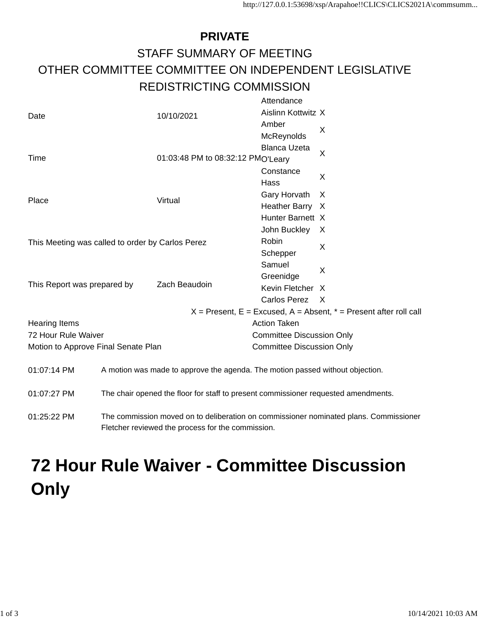## **PRIVATE** STAFF SUMMARY OF MEETING OTHER COMMITTEE COMMITTEE ON INDEPENDENT LEGISLATIVE REDISTRICTING COMMISSION

|                                                                                                   |                                                                               | Attendance                                                            |                |  |
|---------------------------------------------------------------------------------------------------|-------------------------------------------------------------------------------|-----------------------------------------------------------------------|----------------|--|
| Date                                                                                              | 10/10/2021                                                                    | Aislinn Kottwitz X                                                    |                |  |
|                                                                                                   |                                                                               | Amber                                                                 | X              |  |
|                                                                                                   |                                                                               | McReynolds                                                            |                |  |
|                                                                                                   |                                                                               | <b>Blanca Uzeta</b>                                                   | $\overline{X}$ |  |
| Time                                                                                              | 01:03:48 PM to 08:32:12 PMO'Leary                                             |                                                                       |                |  |
|                                                                                                   |                                                                               | Constance                                                             | X              |  |
|                                                                                                   |                                                                               | Hass                                                                  |                |  |
| Place                                                                                             | Virtual                                                                       | <b>Gary Horvath</b>                                                   | X              |  |
|                                                                                                   |                                                                               | Heather Barry X                                                       |                |  |
|                                                                                                   |                                                                               | Hunter Barnett X                                                      |                |  |
|                                                                                                   |                                                                               | John Buckley                                                          | X              |  |
| This Meeting was called to order by Carlos Perez                                                  |                                                                               | Robin                                                                 | X              |  |
|                                                                                                   |                                                                               | Schepper                                                              |                |  |
|                                                                                                   |                                                                               | Samuel                                                                | X              |  |
|                                                                                                   |                                                                               | Greenidge                                                             |                |  |
| This Report was prepared by                                                                       | Zach Beaudoin                                                                 | Kevin Fletcher                                                        | X              |  |
|                                                                                                   |                                                                               | <b>Carlos Perez</b>                                                   | $\times$       |  |
|                                                                                                   |                                                                               | $X =$ Present, E = Excused, A = Absent, $* =$ Present after roll call |                |  |
| <b>Hearing Items</b>                                                                              |                                                                               | <b>Action Taken</b>                                                   |                |  |
| 72 Hour Rule Waiver                                                                               |                                                                               | <b>Committee Discussion Only</b>                                      |                |  |
| Motion to Approve Final Senate Plan                                                               |                                                                               | <b>Committee Discussion Only</b>                                      |                |  |
|                                                                                                   |                                                                               |                                                                       |                |  |
| 01:07:14 PM                                                                                       | A motion was made to approve the agenda. The motion passed without objection. |                                                                       |                |  |
|                                                                                                   |                                                                               |                                                                       |                |  |
| 01:07:27 PM<br>The chair opened the floor for staff to present commissioner requested amendments. |                                                                               |                                                                       |                |  |
|                                                                                                   |                                                                               |                                                                       |                |  |

01:25:22 PM The commission moved on to deliberation on commissioner nominated plans. Commissioner Fletcher reviewed the process for the commission.

## **72 Hour Rule Waiver - Committee Discussion Only**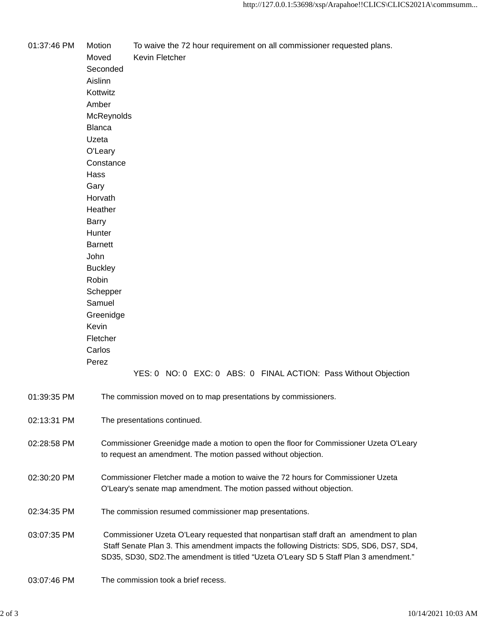01:37:46 PM Motion To waive the 72 hour requirement on all commissioner requested plans. Moved Kevin Fletcher Seconded Aislinn Kottwitz Amber **McReynolds** Blanca Uzeta O'Leary **Constance** Hass Gary Horvath **Heather** Barry **Hunter Barnett** John **Buckley** Robin Schepper Samuel Greenidge Kevin Fletcher Carlos Perez YES: 0 NO: 0 EXC: 0 ABS: 0 FINAL ACTION: Pass Without Objection 01:39:35 PM The commission moved on to map presentations by commissioners. 02:13:31 PM The presentations continued. 02:28:58 PM Commissioner Greenidge made a motion to open the floor for Commissioner Uzeta O'Leary to request an amendment. The motion passed without objection. 02:30:20 PM Commissioner Fletcher made a motion to waive the 72 hours for Commissioner Uzeta O'Leary's senate map amendment. The motion passed without objection. 02:34:35 PM The commission resumed commissioner map presentations. 03:07:35 PM Commissioner Uzeta O'Leary requested that nonpartisan staff draft an amendment to plan Staff Senate Plan 3. This amendment impacts the following Districts: SD5, SD6, DS7, SD4, SD35, SD30, SD2.The amendment is titled "Uzeta O'Leary SD 5 Staff Plan 3 amendment." 03:07:46 PM The commission took a brief recess.